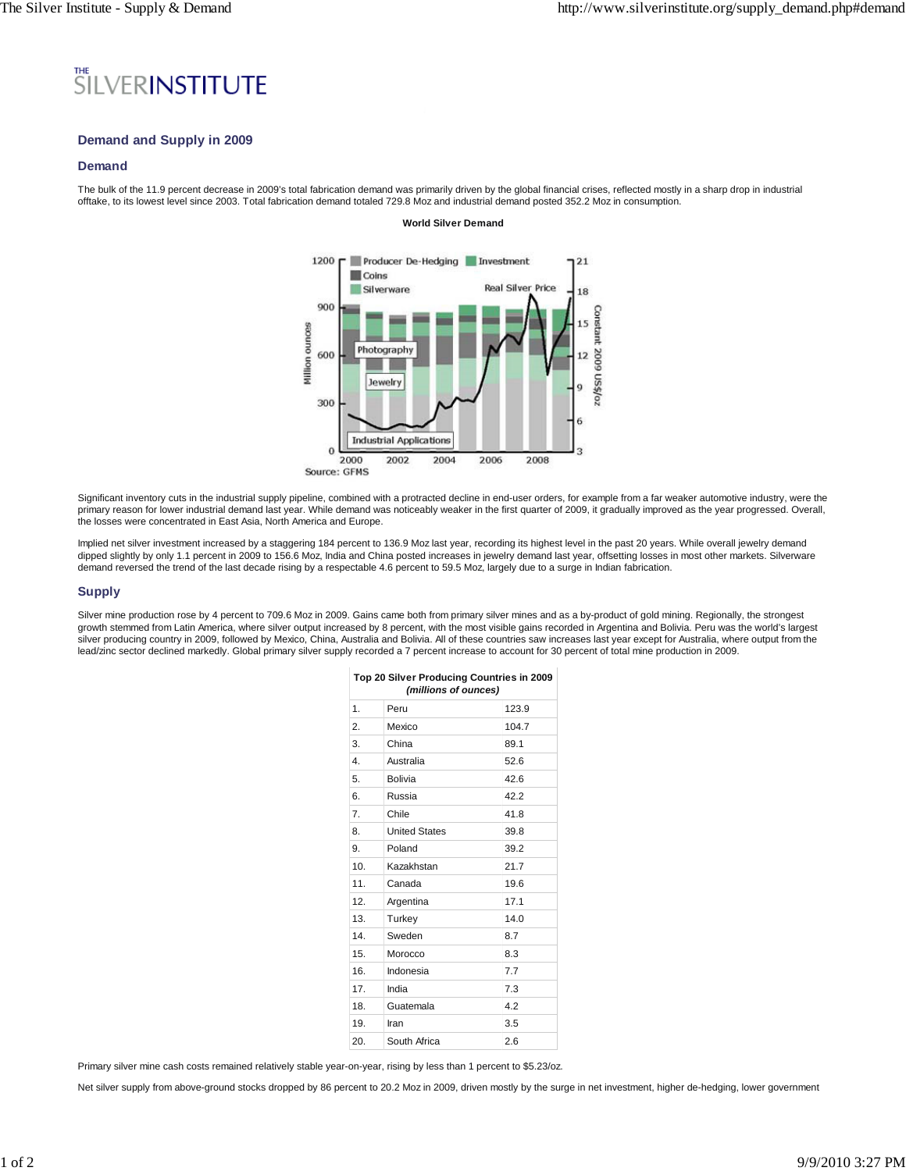# SILVERINSTITUTE

# **Demand and Supply in 2009**

## **Demand**

The bulk of the 11.9 percent decrease in 2009's total fabrication demand was primarily driven by the global financial crises, reflected mostly in a sharp drop in industrial offtake, to its lowest level since 2003. Total fabrication demand totaled 729.8 Moz and industrial demand posted 352.2 Moz in consumption.

#### **World Silver Demand**



Source: GFMS

Significant inventory cuts in the industrial supply pipeline, combined with a protracted decline in end-user orders, for example from a far weaker automotive industry, were the primary reason for lower industrial demand last year. While demand was noticeably weaker in the first quarter of 2009, it gradually improved as the year progressed. Overall, the losses were concentrated in East Asia, North America and Europe.

Implied net silver investment increased by a staggering 184 percent to 136.9 Moz last year, recording its highest level in the past 20 years. While overall jewelry demand dipped slightly by only 1.1 percent in 2009 to 156.6 Moz, India and China posted increases in jewelry demand last year, offsetting losses in most other markets. Silverware demand reversed the trend of the last decade rising by a respectable 4.6 percent to 59.5 Moz, largely due to a surge in Indian fabrication.

#### **Supply**

Silver mine production rose by 4 percent to 709.6 Moz in 2009. Gains came both from primary silver mines and as a by-product of gold mining. Regionally, the strongest growth stemmed from Latin America, where silver output increased by 8 percent, with the most visible gains recorded in Argentina and Bolivia. Peru was the world's largest silver producing country in 2009, followed by Mexico, China, Australia and Bolivia. All of these countries saw increases last year except for Australia, where output from the lead/zinc sector declined markedly. Global primary silver supply recorded a 7 percent increase to account for 30 percent of total mine production in 2009.

| Top 20 Silver Producing Countries in 2009<br>(millions of ounces) |                      |       |  |  |  |  |
|-------------------------------------------------------------------|----------------------|-------|--|--|--|--|
| 1.                                                                | Peru                 | 123.9 |  |  |  |  |
| 2.                                                                | Mexico               | 104.7 |  |  |  |  |
| 3.                                                                | China                | 89.1  |  |  |  |  |
| $\overline{4}$ .                                                  | Australia            | 52.6  |  |  |  |  |
| 5.                                                                | <b>Bolivia</b>       | 42.6  |  |  |  |  |
| 6                                                                 | Russia               | 422   |  |  |  |  |
| 7.                                                                | Chile                | 41.8  |  |  |  |  |
| 8.                                                                | <b>United States</b> | 39.8  |  |  |  |  |
| 9.                                                                | Poland               | 39.2  |  |  |  |  |
| 10.                                                               | Kazakhstan           | 21.7  |  |  |  |  |
| 11.                                                               | Canada               | 19.6  |  |  |  |  |
| 12.                                                               | Argentina            | 17.1  |  |  |  |  |
| 13.                                                               | Turkey               | 14.0  |  |  |  |  |
| 14.                                                               | Sweden               | 8.7   |  |  |  |  |
| 15.                                                               | Morocco              | 8.3   |  |  |  |  |
| 16.                                                               | Indonesia            | 7.7   |  |  |  |  |
| 17.                                                               | India                | 7.3   |  |  |  |  |
| 18.                                                               | Guatemala            | 4.2   |  |  |  |  |
| 19.                                                               | Iran                 | 3.5   |  |  |  |  |
| 20.                                                               | South Africa         | 2.6   |  |  |  |  |

Primary silver mine cash costs remained relatively stable year-on-year, rising by less than 1 percent to \$5.23/oz.

Net silver supply from above-ground stocks dropped by 86 percent to 20.2 Moz in 2009, driven mostly by the surge in net investment, higher de-hedging, lower government